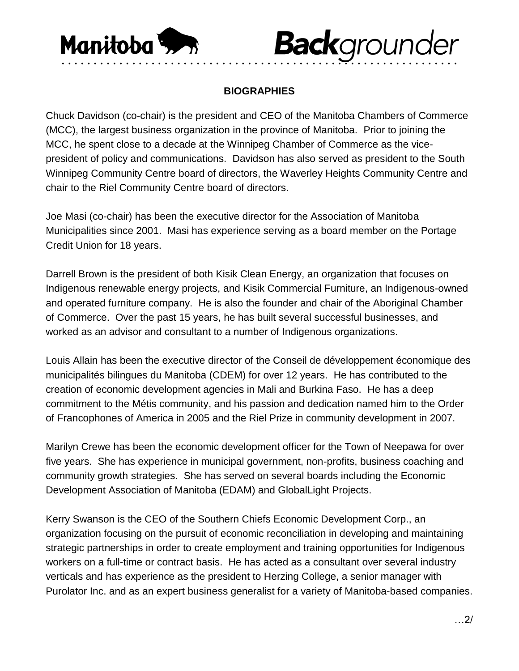

## **Back**grounder

## **BIOGRAPHIES**

• • • • • • • • • • • • • • • • • • • • • • • • • • • • • • • • • • • • • • • • • • • • • • • • • • • • • • • • • • • • • •

Chuck Davidson (co-chair) is the president and CEO of the Manitoba Chambers of Commerce (MCC), the largest business organization in the province of Manitoba. Prior to joining the MCC, he spent close to a decade at the Winnipeg Chamber of Commerce as the vicepresident of policy and communications. Davidson has also served as president to the South Winnipeg Community Centre board of directors, the Waverley Heights Community Centre and chair to the Riel Community Centre board of directors.

Joe Masi (co-chair) has been the executive director for the Association of Manitoba Municipalities since 2001. Masi has experience serving as a board member on the Portage Credit Union for 18 years.

Darrell Brown is the president of both Kisik Clean Energy, an organization that focuses on Indigenous renewable energy projects, and Kisik Commercial Furniture, an Indigenous-owned and operated furniture company. He is also the founder and chair of the Aboriginal Chamber of Commerce. Over the past 15 years, he has built several successful businesses, and worked as an advisor and consultant to a number of Indigenous organizations.

Louis Allain has been the executive director of the Conseil de développement économique des municipalités bilingues du Manitoba (CDEM) for over 12 years. He has contributed to the creation of economic development agencies in Mali and Burkina Faso. He has a deep commitment to the Métis community, and his passion and dedication named him to the Order of Francophones of America in 2005 and the Riel Prize in community development in 2007.

Marilyn Crewe has been the economic development officer for the Town of Neepawa for over five years. She has experience in municipal government, non-profits, business coaching and community growth strategies. She has served on several boards including the Economic Development Association of Manitoba (EDAM) and GlobalLight Projects.

Kerry Swanson is the CEO of the Southern Chiefs Economic Development Corp., an organization focusing on the pursuit of economic reconciliation in developing and maintaining strategic partnerships in order to create employment and training opportunities for Indigenous workers on a full-time or contract basis. He has acted as a consultant over several industry verticals and has experience as the president to Herzing College, a senior manager with Purolator Inc. and as an expert business generalist for a variety of Manitoba-based companies.